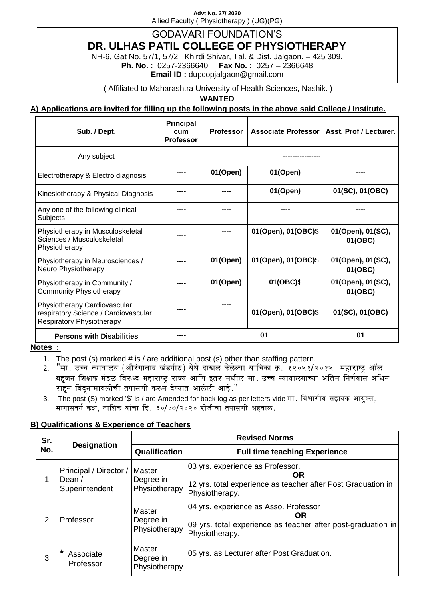**Advt No. 27/ 2020** Allied Faculty ( Physiotherapy ) (UG)(PG)

# GODAVARI FOUNDATION'S

**DR. ULHAS PATIL COLLEGE OF PHYSIOTHERAPY** 

NH-6, Gat No. 57/1, 57/2, Khirdi Shivar, Tal. & Dist. Jalgaon. – 425 309. **Ph. No. :** 0257-2366640 **Fax No. :** 0257 – 2366648

**Email ID :** dupcopjalgaon@gmail.com

( Affiliated to Maharashtra University of Health Sciences, Nashik. )

**WANTED**

**A) Applications are invited for filling up the following posts in the above said College / Institute.**

| Sub. / Dept.                                                                                             | <b>Principal</b><br>cum<br><b>Professor</b> | <b>Professor</b> | <b>Associate Professor</b> | Asst. Prof / Lecturer.       |
|----------------------------------------------------------------------------------------------------------|---------------------------------------------|------------------|----------------------------|------------------------------|
| Any subject                                                                                              |                                             |                  |                            |                              |
| Electrotherapy & Electro diagnosis                                                                       | ----                                        | 01(Open)         | 01(Open)                   | ----                         |
| Kinesiotherapy & Physical Diagnosis                                                                      |                                             |                  | 01(Open)                   | 01(SC), 01(OBC)              |
| Any one of the following clinical<br>Subjects                                                            |                                             |                  |                            |                              |
| Physiotherapy in Musculoskeletal<br>Sciences / Musculoskeletal<br>Physiotherapy                          |                                             | ----             | 01(Open), 01(OBC)\$        | 01(Open), 01(SC),<br>01(OBC) |
| Physiotherapy in Neurosciences /<br>Neuro Physiotherapy                                                  | ----                                        | 01(Open)         | 01(Open), 01(OBC)\$        | 01(Open), 01(SC),<br>01(OBC) |
| Physiotherapy in Community /<br><b>Community Physiotherapy</b>                                           |                                             | 01(Open)         | 01(OBC)\$                  | 01(Open), 01(SC),<br>01(OBC) |
| Physiotherapy Cardiovascular<br>respiratory Science / Cardiovascular<br><b>Respiratory Physiotherapy</b> | ----                                        |                  | 01(Open), 01(OBC)\$        | 01(SC), 01(OBC)              |
| <b>Persons with Disabilities</b>                                                                         |                                             |                  | 01                         | 01                           |

#### **Notes :**

- 1. The post (s) marked  $#$  is  $/$  are additional post (s) other than staffing pattern.
- 2. "मा. उच्च न्यायालय (औरंगाबाद खंडपीठ) येथे दाखल केलेल्या याचिका क्र. १२०५१/२०१५ महाराष्ट्र ऑल बहुजन शिक्षक मंडळ विरुध्द महाराष्ट्र राज्य आणि इतर मधील मा. उच्च न्यायालयाच्या अंतिम निर्णयास अधिन राहून बिंदूनामावलीची तपासणी करुन देण्यात आलेली आहे."
- 3. The post (S) marked '\$' is / are Amended for back log as per letters vide मा. विभागीय सहायक आयुक्त, मागासवर्ग कक्ष, नाशिक यांचा दि. ३०/०७/२०२० रोजीचा तपासणी अहवाल.

## **B) Qualifications & Experience of Teachers**

| Sr.            | <b>Designation</b>                                 | <b>Revised Norms</b>                 |                                                                                                                                      |  |
|----------------|----------------------------------------------------|--------------------------------------|--------------------------------------------------------------------------------------------------------------------------------------|--|
| No.            |                                                    | Qualification                        | <b>Full time teaching Experience</b>                                                                                                 |  |
| 1              | Principal / Director /<br>Dean /<br>Superintendent | Master<br>Degree in<br>Physiotherapy | 03 yrs. experience as Professor.<br><b>OR</b><br>12 yrs. total experience as teacher after Post Graduation in<br>Physiotherapy.      |  |
| $\overline{2}$ | Professor                                          | Master<br>Degree in<br>Physiotherapy | 04 yrs. experience as Asso. Professor<br><b>OR</b><br>09 yrs. total experience as teacher after post-graduation in<br>Physiotherapy. |  |
| 3              | *<br>Associate<br>Professor                        | Master<br>Degree in<br>Physiotherapy | 05 yrs. as Lecturer after Post Graduation.                                                                                           |  |